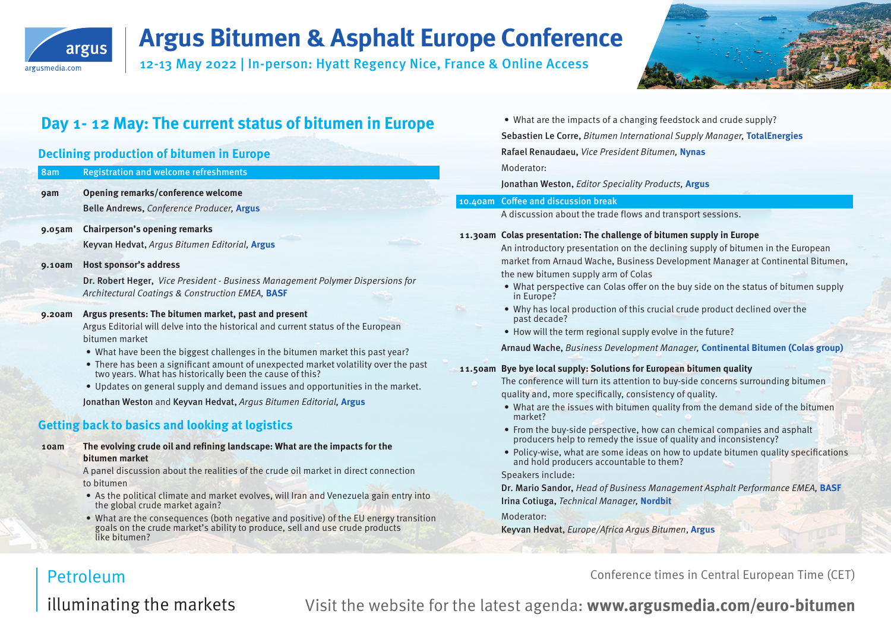

12-13 May 2022 | In-person: Hyatt Regency Nice, France & Online Access



## **Day 1- 12 May: The current status of bitumen in Europe**

#### **Declining production of bitumen in Europe**

| 8am        | <b>Registration and welcome refreshments</b>                                                                                                    |
|------------|-------------------------------------------------------------------------------------------------------------------------------------------------|
| <b>9am</b> | Opening remarks/conference welcome                                                                                                              |
|            | Belle Andrews, Conference Producer, Argus                                                                                                       |
| 9.05am     | <b>Chairperson's opening remarks</b>                                                                                                            |
|            | Keyvan Hedvat, Argus Bitumen Editorial, Argus                                                                                                   |
| 9.10am     | <b>Host sponsor's address</b>                                                                                                                   |
|            | Dr. Robert Heger, Vice President - Business Management Polymer Dispersions for<br>Architectural Coatings & Construction EMEA, BASF              |
| 9.20am     | Argus presents: The bitumen market, past and present                                                                                            |
|            | Argus Editorial will delve into the historical and current status of the European<br>bitumen market                                             |
|            | • What have been the biggest challenges in the bitumen market this past year?                                                                   |
|            | • There has been a significant amount of unexpected market volatility over the past<br>two years. What has historically been the cause of this? |
|            | • Updates on general supply and demand issues and opportunities in the market.                                                                  |
|            | Jonathan Weston and Keyvan Hedvat, Argus Bitumen Editorial, Argus                                                                               |
|            | <b>Getting back to basics and looking at logistics</b>                                                                                          |
| 10am       | The evolving crude oil and refining landscape: What are the impacts for the<br>bitumen market                                                   |
|            | A panel discussion about the realities of the crude oil market in direct connection                                                             |
|            | to bitumen                                                                                                                                      |
|            | • As the political climate and market evolves, will Iran and Venezuela gain entry into<br>the global crude market again?                        |

• What are the consequences (both negative and positive) of the EU energy transition goals on the crude market's ability to produce, sell and use crude products like bitumen?

• What are the impacts of a changing feedstock and crude supply? Sebastien Le Corre, Bitumen International Supply Manager, **TotalEnergies** Rafael Renaudaeu, Vice President Bitumen, **Nynas** Moderator:

Jonathan Weston, Editor Speciality Products, **Argus**

#### 10.40am Coffee and discussion break

A discussion about the trade flows and transport sessions.

#### **11.30am Colas presentation: The challenge of bitumen supply in Europe**

An introductory presentation on the declining supply of bitumen in the European market from Arnaud Wache, Business Development Manager at Continental Bitumen, the new bitumen supply arm of Colas

- What perspective can Colas offer on the buy side on the status of bitumen supply in Europe?
- Why has local production of this crucial crude product declined over the past decade?
- How will the term regional supply evolve in the future?

Arnaud Wache, Business Development Manager, **Continental Bitumen (Colas group)**

#### **11.50am Bye bye local supply: Solutions for European bitumen quality**

The conference will turn its attention to buy-side concerns surrounding bitumen quality and, more specifically, consistency of quality.

- What are the issues with bitumen quality from the demand side of the bitumen market?
- From the buy-side perspective, how can chemical companies and asphalt producers help to remedy the issue of quality and inconsistency?
- Policy-wise, what are some ideas on how to update bitumen quality specifications and hold producers accountable to them?

#### Speakers include:

Dr. Mario Sandor, Head of Business Management Asphalt Performance EMEA, **BASF** Irina Cotiuga, Technical Manager, **Nordbit**

Moderator:

Keyvan Hedvat, Europe/Africa Argus Bitumen, **Argus**

Conference times in Central European Time (CET)

## **Petroleum**

illuminating the markets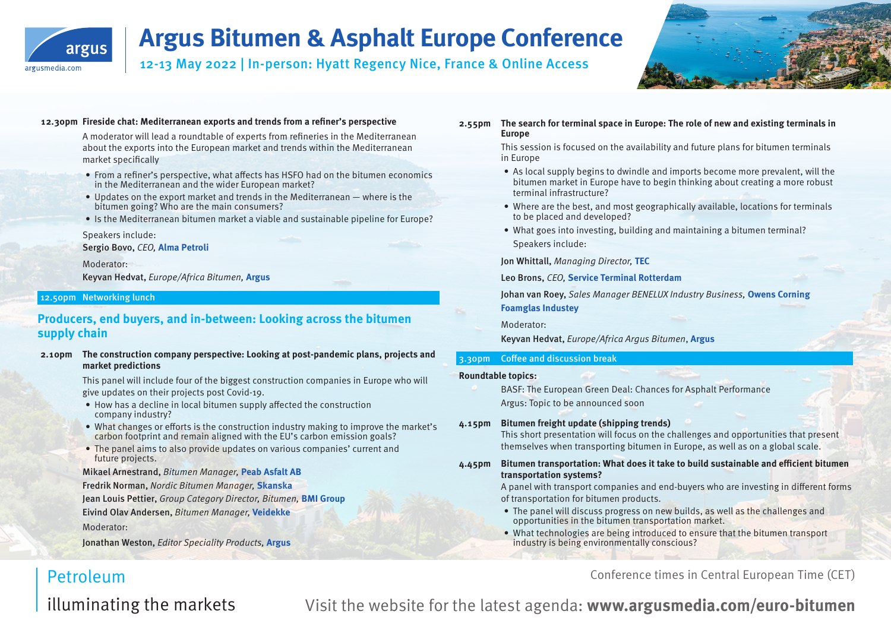

12-13 May 2022 | In-person: Hyatt Regency Nice, France & Online Access



#### **12.30pm Fireside chat: Mediterranean exports and trends from a refiner's perspective**

A moderator will lead a roundtable of experts from refineries in the Mediterranean about the exports into the European market and trends within the Mediterranean market specifically

- From a refiner's perspective, what affects has HSFO had on the bitumen economics in the Mediterranean and the wider European market?
- $\bullet$  Updates on the export market and trends in the Mediterranean where is the bitumen going? Who are the main consumers?
- Is the Mediterranean bitumen market a viable and sustainable pipeline for Europe?

Speakers include:

Sergio Bovo, CEO, **Alma Petroli**

Moderator: Keyvan Hedvat, Europe/Africa Bitumen, **Argus**

#### 12.50pm Networking lunch

#### **Producers, end buyers, and in-between: Looking across the bitumen supply chain**

#### **2.10pm The construction company perspective: Looking at post-pandemic plans, projects and market predictions**

This panel will include four of the biggest construction companies in Europe who will give updates on their projects post Covid-19.

- How has a decline in local bitumen supply affected the construction company industry?
- What changes or efforts is the construction industry making to improve the market's carbon footprint and remain aligned with the EU's carbon emission goals?
- The panel aims to also provide updates on various companies' current and future projects.

Mikael Arnestrand, Bitumen Manager, **Peab Asfalt AB** Fredrik Norman, Nordic Bitumen Manager, **Skanska** Jean Louis Pettier, Group Category Director, Bitumen, **BMI Group** Eivind Olav Andersen, Bitumen Manager, **Veidekke** 

Moderator:

**Petroleum** 

Jonathan Weston, Editor Speciality Products, **Argus**

#### **2.55pm The search for terminal space in Europe: The role of new and existing terminals in Europe**

This session is focused on the availability and future plans for bitumen terminals in Europe

- As local supply begins to dwindle and imports become more prevalent, will the bitumen market in Europe have to begin thinking about creating a more robust terminal infrastructure?
- Where are the best, and most geographically available, locations for terminals to be placed and developed?
- What goes into investing, building and maintaining a bitumen terminal? Speakers include:

Jon Whittall, Managing Director, **TEC**

Leo Brons, CEO, **Service Terminal Rotterdam**

Johan van Roey, Sales Manager BENELUX Industry Business, **Owens Corning Foamglas Industey**

Moderator:

Keyvan Hedvat, Europe/Africa Argus Bitumen, **Argus**

#### 3.30pm Coffee and discussion break

#### **Roundtable topics:**

BASF: The European Green Deal: Chances for Asphalt Performance Argus: Topic to be announced soon

#### **4.15pm Bitumen freight update (shipping trends)**

This short presentation will focus on the challenges and opportunities that present themselves when transporting bitumen in Europe, as well as on a global scale.

#### **4.45pm Bitumen transportation: What does it take to build sustainable and efficient bitumen transportation systems?**

A panel with transport companies and end-buyers who are investing in different forms of transportation for bitumen products.

- The panel will discuss progress on new builds, as well as the challenges and opportunities in the bitumen transportation market.
- What technologies are being introduced to ensure that the bitumen transport industry is being environmentally conscious?

Conference times in Central European Time (CET)

illuminating the markets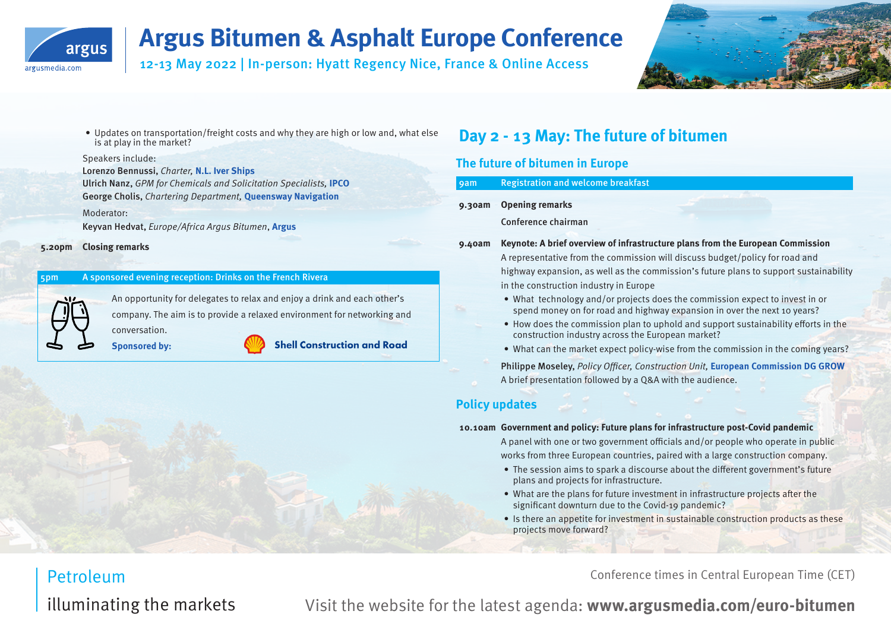

12-13 May 2022 | In-person: Hyatt Regency Nice, France & Online Access



• Updates on transportation/freight costs and why they are high or low and, what else is at play in the market?

#### Speakers include:

Lorenzo Bennussi, Charter, **N.L. Iver Ships**  Ulrich Nanz, GPM for Chemicals and Solicitation Specialists, **IPCO**

George Cholis, Chartering Department, **Queensway Navigation**

#### Moderator:

Keyvan Hedvat, Europe/Africa Argus Bitumen, **Argus**

#### **5.20pm Closing remarks**

#### 5pm A sponsored evening reception: Drinks on the French Rivera

An opportunity for delegates to relax and enjoy a drink and each other's company. The aim is to provide a relaxed environment for networking and conversation.

**Sponsored by:**



**Shell Construction and Road** 

## **Day 2 - 13 May: The future of bitumen**

#### **The future of bitumen in Europe**

#### 9am Registration and welcome breakfast

#### **9.30am Opening remarks**

Conference chairman

- **9.40am Keynote: A brief overview of infrastructure plans from the European Commission**  A representative from the commission will discuss budget/policy for road and highway expansion, as well as the commission's future plans to support sustainability in the construction industry in Europe
	- What technology and/or projects does the commission expect to invest in or spend money on for road and highway expansion in over the next 10 years?
	- How does the commission plan to uphold and support sustainability efforts in the construction industry across the European market?
	- What can the market expect policy-wise from the commission in the coming years?

Philippe Moseley, Policy Officer, Construction Unit, **European Commission DG GROW** A brief presentation followed by a Q&A with the audience.

#### **Policy updates**

#### **10.10am Government and policy: Future plans for infrastructure post-Covid pandemic**

A panel with one or two government officials and/or people who operate in public works from three European countries, paired with a large construction company.

- The session aims to spark a discourse about the different government's future plans and projects for infrastructure.
- What are the plans for future investment in infrastructure projects after the significant downturn due to the Covid-19 pandemic?
- Is there an appetite for investment in sustainable construction products as these projects move forward?

Conference times in Central European Time (CET)

## Petroleum illuminating the markets